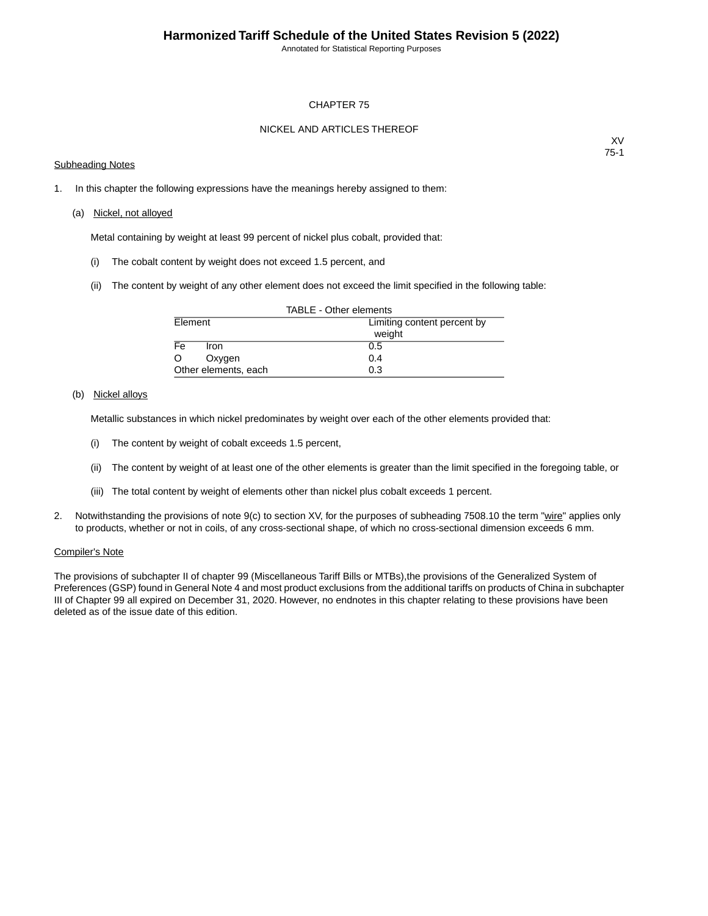Annotated for Statistical Reporting Purposes

#### CHAPTER 75

### NICKEL AND ARTICLES THEREOF

#### Subheading Notes

XV 75-1

1. In this chapter the following expressions have the meanings hereby assigned to them:

#### (a) Nickel, not alloyed

Metal containing by weight at least 99 percent of nickel plus cobalt, provided that:

- (i) The cobalt content by weight does not exceed 1.5 percent, and
- (ii) The content by weight of any other element does not exceed the limit specified in the following table:

| TABLE - Other elements |                             |  |  |  |  |  |
|------------------------|-----------------------------|--|--|--|--|--|
| Element                | Limiting content percent by |  |  |  |  |  |
|                        | weight                      |  |  |  |  |  |
| Fe<br>Iron.            | 0.5                         |  |  |  |  |  |
| O<br>Oxygen            | 0.4                         |  |  |  |  |  |
| Other elements, each   | 0.3                         |  |  |  |  |  |

### (b) Nickel alloys

Metallic substances in which nickel predominates by weight over each of the other elements provided that:

- (i) The content by weight of cobalt exceeds 1.5 percent,
- (ii) The content by weight of at least one of the other elements is greater than the limit specified in the foregoing table, or
- (iii) The total content by weight of elements other than nickel plus cobalt exceeds 1 percent.
- 2. Notwithstanding the provisions of note 9(c) to section XV, for the purposes of subheading 7508.10 the term "wire" applies only to products, whether or not in coils, of any cross-sectional shape, of which no cross-sectional dimension exceeds 6 mm.

#### Compiler's Note

The provisions of subchapter II of chapter 99 (Miscellaneous Tariff Bills or MTBs),the provisions of the Generalized System of Preferences (GSP) found in General Note 4 and most product exclusions from the additional tariffs on products of China in subchapter III of Chapter 99 all expired on December 31, 2020. However, no endnotes in this chapter relating to these provisions have been deleted as of the issue date of this edition.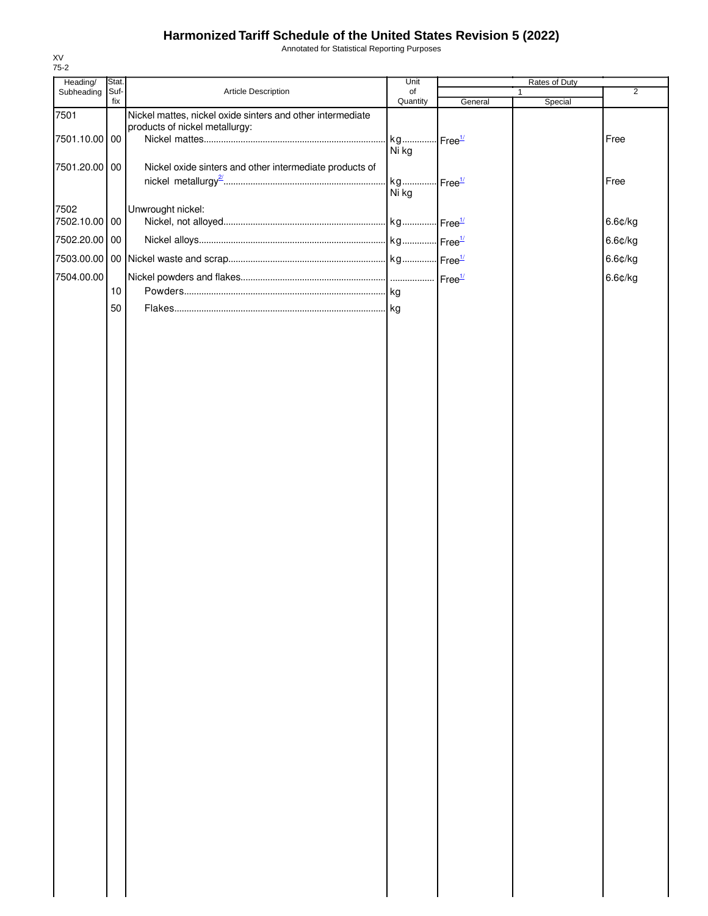XV 75-2 Annotated for Statistical Reporting Purposes

| Heading/              | Stat. |                                                                                              | Unit                           | Rates of Duty |                         |                |
|-----------------------|-------|----------------------------------------------------------------------------------------------|--------------------------------|---------------|-------------------------|----------------|
| Subheading Suf-       | fix   | Article Description                                                                          | of<br>Quantity                 | General       | $\mathbf{1}$<br>Special | $\overline{2}$ |
| 7501<br>7501.10.00 00 |       | Nickel mattes, nickel oxide sinters and other intermediate<br>products of nickel metallurgy: | kg Free <sup>1/</sup>          |               |                         | Free           |
| 7501.20.00 00         |       | Nickel oxide sinters and other intermediate products of                                      | Ni kg<br>kg Free <sup>1/</sup> |               |                         | Free           |
| 7502<br>7502.10.00 00 |       | Unwrought nickel:                                                                            | Ni kg                          |               |                         | 6.6¢/kg        |
| 7502.20.00 00         |       |                                                                                              |                                |               |                         | 6.6¢/kg        |
| 7503.00.00            |       |                                                                                              |                                |               |                         | 6.6¢/kg        |
| 7504.00.00            |       |                                                                                              |                                |               |                         | 6.6¢/kg        |
|                       | 10    |                                                                                              |                                |               |                         |                |
|                       | 50    |                                                                                              |                                |               |                         |                |
|                       |       |                                                                                              |                                |               |                         |                |
|                       |       |                                                                                              |                                |               |                         |                |
|                       |       |                                                                                              |                                |               |                         |                |
|                       |       |                                                                                              |                                |               |                         |                |
|                       |       |                                                                                              |                                |               |                         |                |
|                       |       |                                                                                              |                                |               |                         |                |
|                       |       |                                                                                              |                                |               |                         |                |
|                       |       |                                                                                              |                                |               |                         |                |
|                       |       |                                                                                              |                                |               |                         |                |
|                       |       |                                                                                              |                                |               |                         |                |
|                       |       |                                                                                              |                                |               |                         |                |
|                       |       |                                                                                              |                                |               |                         |                |
|                       |       |                                                                                              |                                |               |                         |                |
|                       |       |                                                                                              |                                |               |                         |                |
|                       |       |                                                                                              |                                |               |                         |                |
|                       |       |                                                                                              |                                |               |                         |                |
|                       |       |                                                                                              |                                |               |                         |                |
|                       |       |                                                                                              |                                |               |                         |                |
|                       |       |                                                                                              |                                |               |                         |                |
|                       |       |                                                                                              |                                |               |                         |                |
|                       |       |                                                                                              |                                |               |                         |                |
|                       |       |                                                                                              |                                |               |                         |                |
|                       |       |                                                                                              |                                |               |                         |                |
|                       |       |                                                                                              |                                |               |                         |                |
|                       |       |                                                                                              |                                |               |                         |                |
|                       |       |                                                                                              |                                |               |                         |                |
|                       |       |                                                                                              |                                |               |                         |                |
|                       |       |                                                                                              |                                |               |                         |                |
|                       |       |                                                                                              |                                |               |                         |                |
|                       |       |                                                                                              |                                |               |                         |                |
|                       |       |                                                                                              |                                |               |                         |                |
|                       |       |                                                                                              |                                |               |                         |                |
|                       |       |                                                                                              |                                |               |                         |                |
|                       |       |                                                                                              |                                |               |                         |                |
|                       |       |                                                                                              |                                |               |                         |                |
|                       |       |                                                                                              |                                |               |                         |                |
|                       |       |                                                                                              |                                |               |                         |                |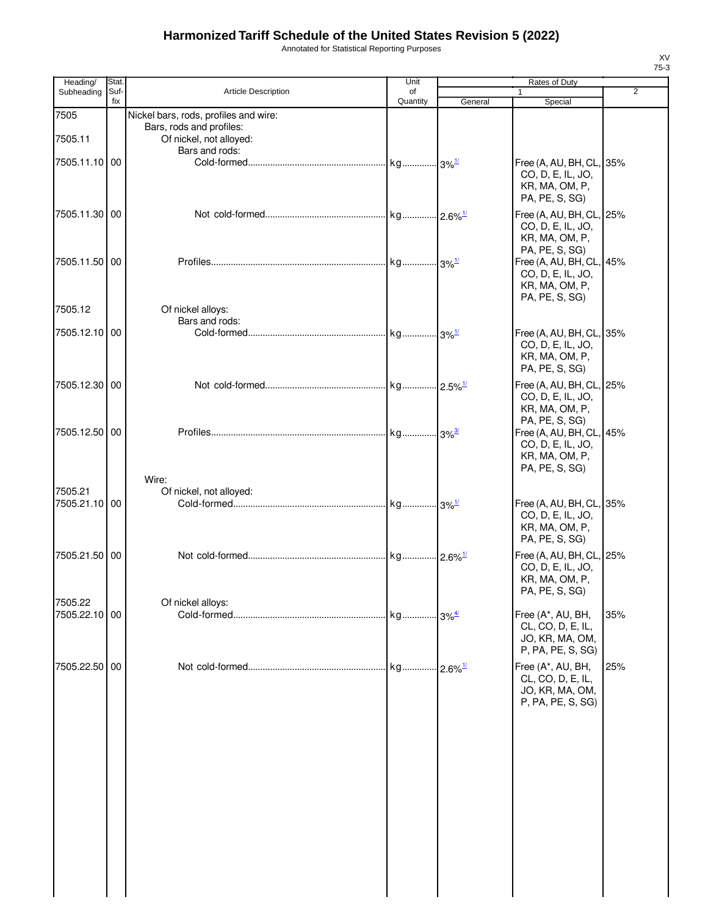Annotated for Statistical Reporting Purposes

| Heading/                 | Stat.       |                                                     | Unit           |         | Rates of Duty                                                                                       |                |
|--------------------------|-------------|-----------------------------------------------------|----------------|---------|-----------------------------------------------------------------------------------------------------|----------------|
| Subheading               | Suf-<br>fix | <b>Article Description</b>                          | of<br>Quantity | General | Special                                                                                             | $\overline{2}$ |
| 7505                     |             | Nickel bars, rods, profiles and wire:               |                |         |                                                                                                     |                |
| 7505.11                  |             | Bars, rods and profiles:<br>Of nickel, not alloyed: |                |         |                                                                                                     |                |
| 7505.11.10 00            |             | Bars and rods:                                      |                |         | Free (A, AU, BH, CL, 35%<br>CO, D, E, IL, JO,<br>KR, MA, OM, P,                                     |                |
| 7505.11.30 00            |             |                                                     |                |         | PA, PE, S, SG)<br>Free (A, AU, BH, CL, 25%<br>CO, D, E, IL, JO,<br>KR, MA, OM, P,                   |                |
| 7505.11.50 00            |             |                                                     |                |         | PA, PE, S, SG)<br>Free (A, AU, BH, CL, 45%<br>CO, D, E, IL, JO,<br>KR, MA, OM, P,                   |                |
| 7505.12                  |             | Of nickel alloys:<br>Bars and rods:                 |                |         | PA, PE, S, SG)                                                                                      |                |
| 7505.12.10 00            |             |                                                     |                |         | Free (A, AU, BH, CL, 35%<br>CO, D, E, IL, JO,<br>KR, MA, OM, P,<br>PA, PE, S, SG)                   |                |
| 7505.12.30 00            |             |                                                     |                |         | Free (A, AU, BH, CL, 25%<br>CO, D, E, IL, JO,<br>KR, MA, OM, P,                                     |                |
| 7505.12.50 00            |             |                                                     |                |         | PA, PE, S, SG)<br>Free (A, AU, BH, CL, 45%<br>CO, D, E, IL, JO,<br>KR, MA, OM, P,<br>PA, PE, S, SG) |                |
|                          |             | Wire:                                               |                |         |                                                                                                     |                |
| 7505.21<br>7505.21.10 00 |             | Of nickel, not alloyed:                             |                |         | Free (A, AU, BH, CL, 35%<br>CO, D, E, IL, JO,<br>KR, MA, OM, P,<br>PA, PE, S, SG)                   |                |
| 7505.21.50 00            |             |                                                     |                |         | Free (A, AU, BH, CL, 25%<br>CO, D, E, IL, JO,<br>KR, MA, OM, P,<br>PA, PE, S, SG)                   |                |
| 7505.22                  |             | Of nickel alloys:                                   |                |         |                                                                                                     |                |
| 7505.22.10 00            |             |                                                     |                |         | Free (A*, AU, BH,<br>CL, CO, D, E, IL,<br>JO, KR, MA, OM,<br>P, PA, PE, S, SG)                      | 35%            |
| 7505.22.50 00            |             |                                                     |                |         | Free (A*, AU, BH,<br>CL, CO, D, E, IL,<br>JO, KR, MA, OM,<br>P, PA, PE, S, SG)                      | 25%            |
|                          |             |                                                     |                |         |                                                                                                     |                |
|                          |             |                                                     |                |         |                                                                                                     |                |
|                          |             |                                                     |                |         |                                                                                                     |                |
|                          |             |                                                     |                |         |                                                                                                     |                |

XV 75-3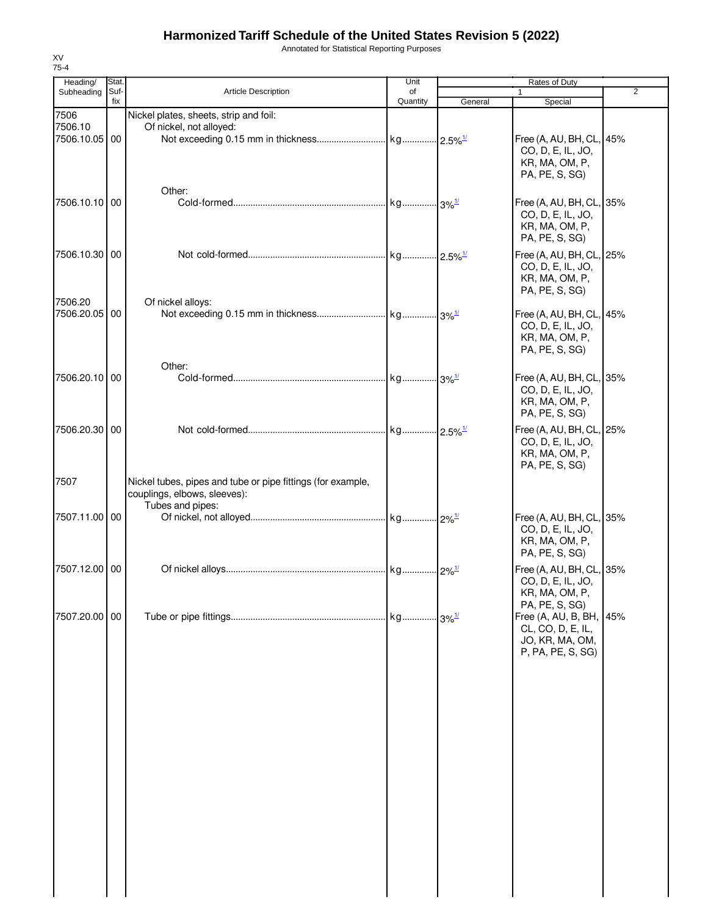Annotated for Statistical Reporting Purposes

| Heading/      | Stat.       |                                                             | Unit           | <b>Rates of Duty</b> |                                  |     |  |
|---------------|-------------|-------------------------------------------------------------|----------------|----------------------|----------------------------------|-----|--|
| Subheading    | Suf-<br>fix | <b>Article Description</b>                                  | of<br>Quantity | General              | $\mathbf{1}$<br>Special          | 2   |  |
| 7506          |             | Nickel plates, sheets, strip and foil:                      |                |                      |                                  |     |  |
| 7506.10       |             | Of nickel, not alloyed:                                     |                |                      |                                  |     |  |
| 7506.10.05 00 |             |                                                             |                |                      | Free (A, AU, BH, CL, 45%         |     |  |
|               |             |                                                             |                |                      | CO, D, E, IL, JO,                |     |  |
|               |             |                                                             |                |                      | KR, MA, OM, P,                   |     |  |
|               |             |                                                             |                |                      | PA, PE, S, SG)                   |     |  |
|               |             | Other:                                                      |                |                      |                                  |     |  |
| 7506.10.10 00 |             |                                                             |                |                      | Free (A, AU, BH, CL, 35%         |     |  |
|               |             |                                                             |                |                      | CO, D, E, IL, JO,                |     |  |
|               |             |                                                             |                |                      | KR, MA, OM, P,                   |     |  |
|               |             |                                                             |                |                      | PA, PE, S, SG)                   |     |  |
| 7506.10.30 00 |             |                                                             |                |                      | Free (A, AU, BH, CL, 25%         |     |  |
|               |             |                                                             |                |                      | CO, D, E, IL, JO,                |     |  |
|               |             |                                                             |                |                      | KR, MA, OM, P,                   |     |  |
|               |             |                                                             |                |                      | PA, PE, S, SG)                   |     |  |
| 7506.20       |             | Of nickel alloys:                                           |                |                      |                                  |     |  |
| 7506.20.05 00 |             |                                                             |                |                      | Free (A, AU, BH, CL, 45%         |     |  |
|               |             |                                                             |                |                      | CO, D, E, IL, JO,                |     |  |
|               |             |                                                             |                |                      | KR, MA, OM, P,                   |     |  |
|               |             |                                                             |                |                      | PA, PE, S, SG)                   |     |  |
|               |             | Other:                                                      |                |                      |                                  |     |  |
| 7506.20.10 00 |             |                                                             |                |                      | Free (A, AU, BH, CL, 35%         |     |  |
|               |             |                                                             |                |                      | CO, D, E, IL, JO,                |     |  |
|               |             |                                                             |                |                      | KR, MA, OM, P,<br>PA, PE, S, SG) |     |  |
|               |             |                                                             |                |                      |                                  |     |  |
| 7506.20.30 00 |             |                                                             |                |                      | Free (A, AU, BH, CL, 25%         |     |  |
|               |             |                                                             |                |                      | CO, D, E, IL, JO,                |     |  |
|               |             |                                                             |                |                      | KR, MA, OM, P,<br>PA, PE, S, SG) |     |  |
|               |             |                                                             |                |                      |                                  |     |  |
| 7507          |             | Nickel tubes, pipes and tube or pipe fittings (for example, |                |                      |                                  |     |  |
|               |             | couplings, elbows, sleeves):                                |                |                      |                                  |     |  |
| 7507.11.00 00 |             | Tubes and pipes:                                            |                |                      | Free (A, AU, BH, CL, 35%         |     |  |
|               |             |                                                             |                |                      | CO, D, E, IL, JO,                |     |  |
|               |             |                                                             |                |                      | KR, MA, OM, P,                   |     |  |
|               |             |                                                             |                |                      | PA, PE, S, SG)                   |     |  |
| 7507.12.00 00 |             |                                                             |                |                      | Free (A, AU, BH, CL, 35%         |     |  |
|               |             |                                                             |                |                      | CO, D, E, IL, JO,                |     |  |
|               |             |                                                             |                |                      | KR, MA, OM, P,                   |     |  |
|               |             |                                                             |                |                      | PA, PE, S, SG)                   |     |  |
| 7507.20.00 00 |             |                                                             |                |                      | Free (A, AU, B, BH,              | 45% |  |
|               |             |                                                             |                |                      | CL, CO, D, E, IL,                |     |  |
|               |             |                                                             |                |                      | JO, KR, MA, OM,                  |     |  |
|               |             |                                                             |                |                      | P, PA, PE, S, SG)                |     |  |
|               |             |                                                             |                |                      |                                  |     |  |
|               |             |                                                             |                |                      |                                  |     |  |
|               |             |                                                             |                |                      |                                  |     |  |
|               |             |                                                             |                |                      |                                  |     |  |
|               |             |                                                             |                |                      |                                  |     |  |
|               |             |                                                             |                |                      |                                  |     |  |
|               |             |                                                             |                |                      |                                  |     |  |
|               |             |                                                             |                |                      |                                  |     |  |
|               |             |                                                             |                |                      |                                  |     |  |
|               |             |                                                             |                |                      |                                  |     |  |
|               |             |                                                             |                |                      |                                  |     |  |
|               |             |                                                             |                |                      |                                  |     |  |
|               |             |                                                             |                |                      |                                  |     |  |
|               |             |                                                             |                |                      |                                  |     |  |
|               |             |                                                             |                |                      |                                  |     |  |
|               |             |                                                             |                |                      |                                  |     |  |
|               |             |                                                             |                |                      |                                  |     |  |
|               |             |                                                             |                |                      |                                  |     |  |

XV 75-4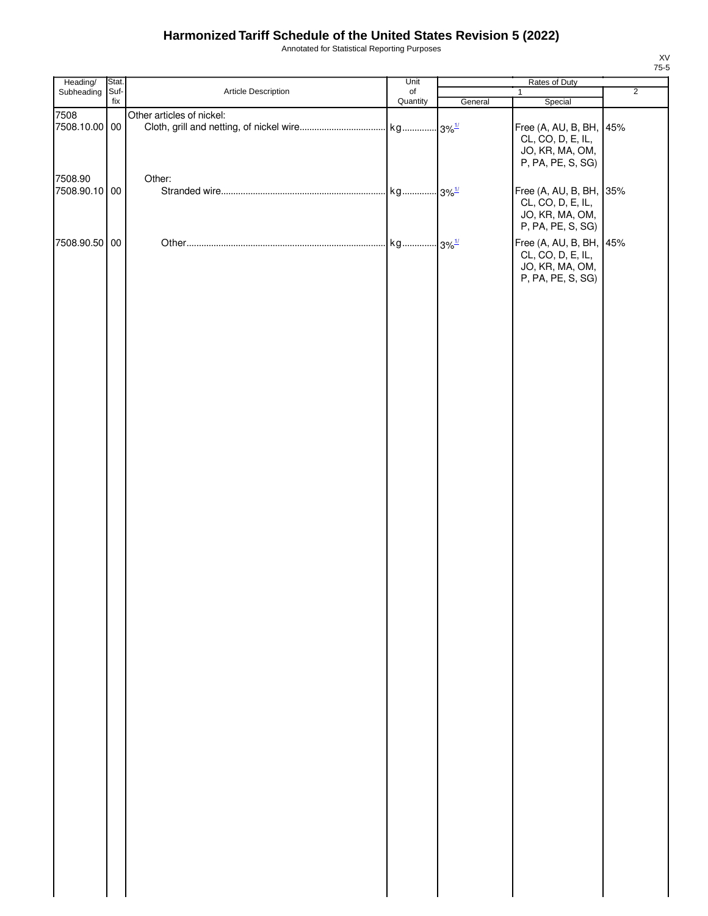Annotated for Statistical Reporting Purposes

| Heading/              | Stat. |                           | Unit             |         | Rates of Duty                                                                        |                |
|-----------------------|-------|---------------------------|------------------|---------|--------------------------------------------------------------------------------------|----------------|
| Subheading            | Suf-  | Article Description       | $_{\mathsf{of}}$ |         | $\mathbf{1}$                                                                         | $\overline{2}$ |
|                       | fix   |                           | Quantity         | General | Special                                                                              |                |
| 7508<br>7508.10.00 00 |       | Other articles of nickel: |                  |         | Free (A, AU, B, BH, 45%                                                              |                |
|                       |       |                           |                  |         | CL, CO, D, E, IL,<br>JO, KR, MA, OM,<br>P, PA, PE, S, SG)                            |                |
| 7508.90               |       | Other:                    |                  |         |                                                                                      |                |
| 7508.90.10 00         |       |                           |                  |         | Free (A, AU, B, BH, 35%<br>CL, CO, D, E, IL,<br>JO, KR, MA, OM,                      |                |
|                       |       |                           |                  |         | P, PA, PE, S, SG)                                                                    |                |
| 7508.90.50 00         |       |                           |                  |         | Free (A, AU, B, BH, 45%<br>CL, CO, D, E, IL,<br>JO, KR, MA, OM,<br>P, PA, PE, S, SG) |                |
|                       |       |                           |                  |         |                                                                                      |                |
|                       |       |                           |                  |         |                                                                                      |                |
|                       |       |                           |                  |         |                                                                                      |                |
|                       |       |                           |                  |         |                                                                                      |                |
|                       |       |                           |                  |         |                                                                                      |                |
|                       |       |                           |                  |         |                                                                                      |                |
|                       |       |                           |                  |         |                                                                                      |                |
|                       |       |                           |                  |         |                                                                                      |                |
|                       |       |                           |                  |         |                                                                                      |                |
|                       |       |                           |                  |         |                                                                                      |                |
|                       |       |                           |                  |         |                                                                                      |                |
|                       |       |                           |                  |         |                                                                                      |                |
|                       |       |                           |                  |         |                                                                                      |                |
|                       |       |                           |                  |         |                                                                                      |                |
|                       |       |                           |                  |         |                                                                                      |                |
|                       |       |                           |                  |         |                                                                                      |                |
|                       |       |                           |                  |         |                                                                                      |                |
|                       |       |                           |                  |         |                                                                                      |                |
|                       |       |                           |                  |         |                                                                                      |                |

XV 75-5